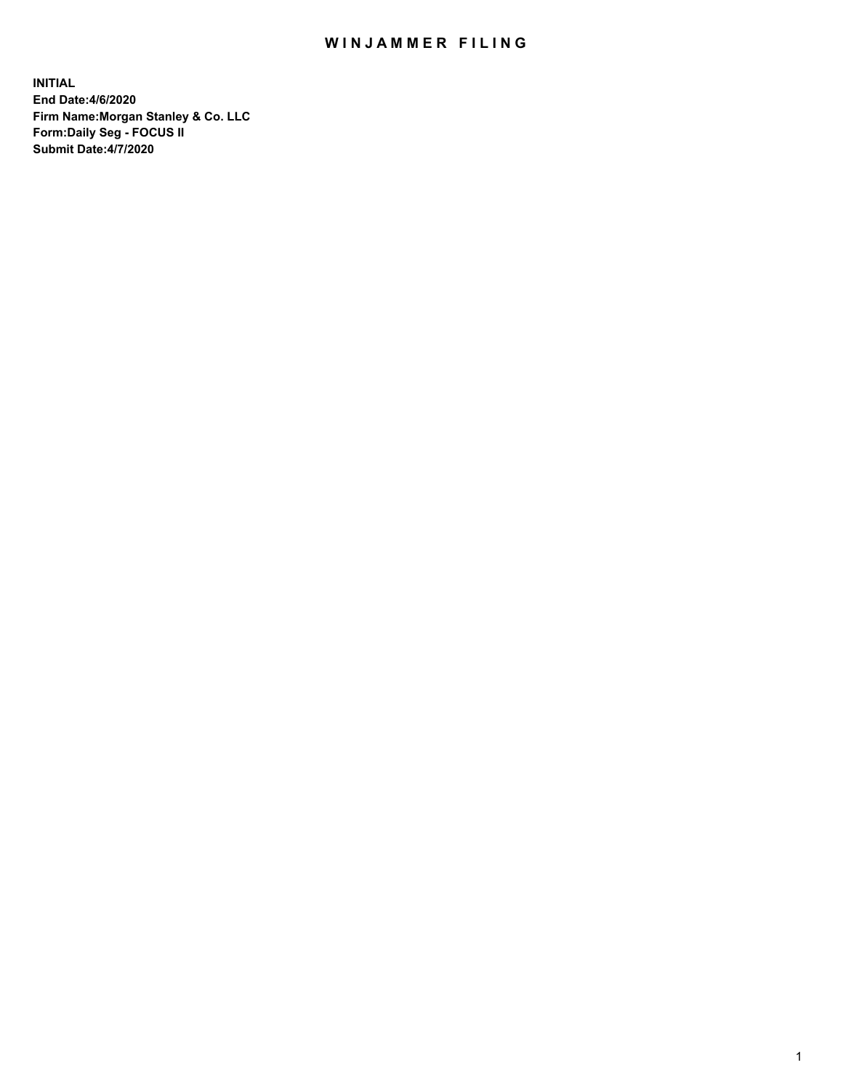## WIN JAMMER FILING

**INITIAL End Date:4/6/2020 Firm Name:Morgan Stanley & Co. LLC Form:Daily Seg - FOCUS II Submit Date:4/7/2020**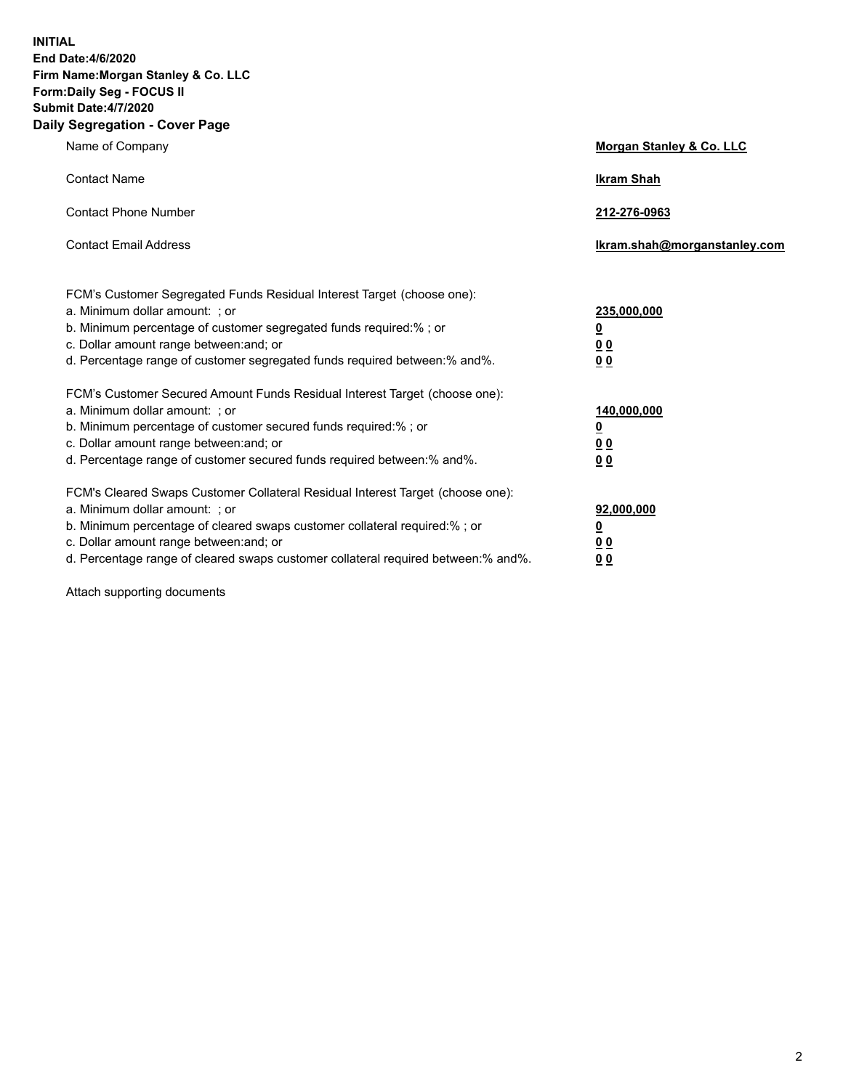**INITIAL End Date:4/6/2020 Firm Name:Morgan Stanley & Co. LLC Form:Daily Seg - FOCUS II Submit Date:4/7/2020 Daily Segregation - Cover Page**

| Name of Company                                                                                                                                                                                                                                                                                                                | <b>Morgan Stanley &amp; Co. LLC</b>                   |
|--------------------------------------------------------------------------------------------------------------------------------------------------------------------------------------------------------------------------------------------------------------------------------------------------------------------------------|-------------------------------------------------------|
| <b>Contact Name</b>                                                                                                                                                                                                                                                                                                            | <b>Ikram Shah</b>                                     |
| <b>Contact Phone Number</b>                                                                                                                                                                                                                                                                                                    | 212-276-0963                                          |
| <b>Contact Email Address</b>                                                                                                                                                                                                                                                                                                   | Ikram.shah@morganstanley.com                          |
| FCM's Customer Segregated Funds Residual Interest Target (choose one):<br>a. Minimum dollar amount: ; or<br>b. Minimum percentage of customer segregated funds required:% ; or<br>c. Dollar amount range between: and; or                                                                                                      | 235,000,000<br><u>0</u><br><u>00</u>                  |
| d. Percentage range of customer segregated funds required between:% and%.<br>FCM's Customer Secured Amount Funds Residual Interest Target (choose one):<br>a. Minimum dollar amount: ; or<br>b. Minimum percentage of customer secured funds required:%; or                                                                    | 0 Q<br>140,000,000<br><u>0</u>                        |
| c. Dollar amount range between: and; or<br>d. Percentage range of customer secured funds required between: % and %.                                                                                                                                                                                                            | <u>0 0</u><br>0 <sup>0</sup>                          |
| FCM's Cleared Swaps Customer Collateral Residual Interest Target (choose one):<br>a. Minimum dollar amount: ; or<br>b. Minimum percentage of cleared swaps customer collateral required:% ; or<br>c. Dollar amount range between: and; or<br>d. Percentage range of cleared swaps customer collateral required between:% and%. | 92,000,000<br><u>0</u><br><u>00</u><br>0 <sub>0</sub> |

Attach supporting documents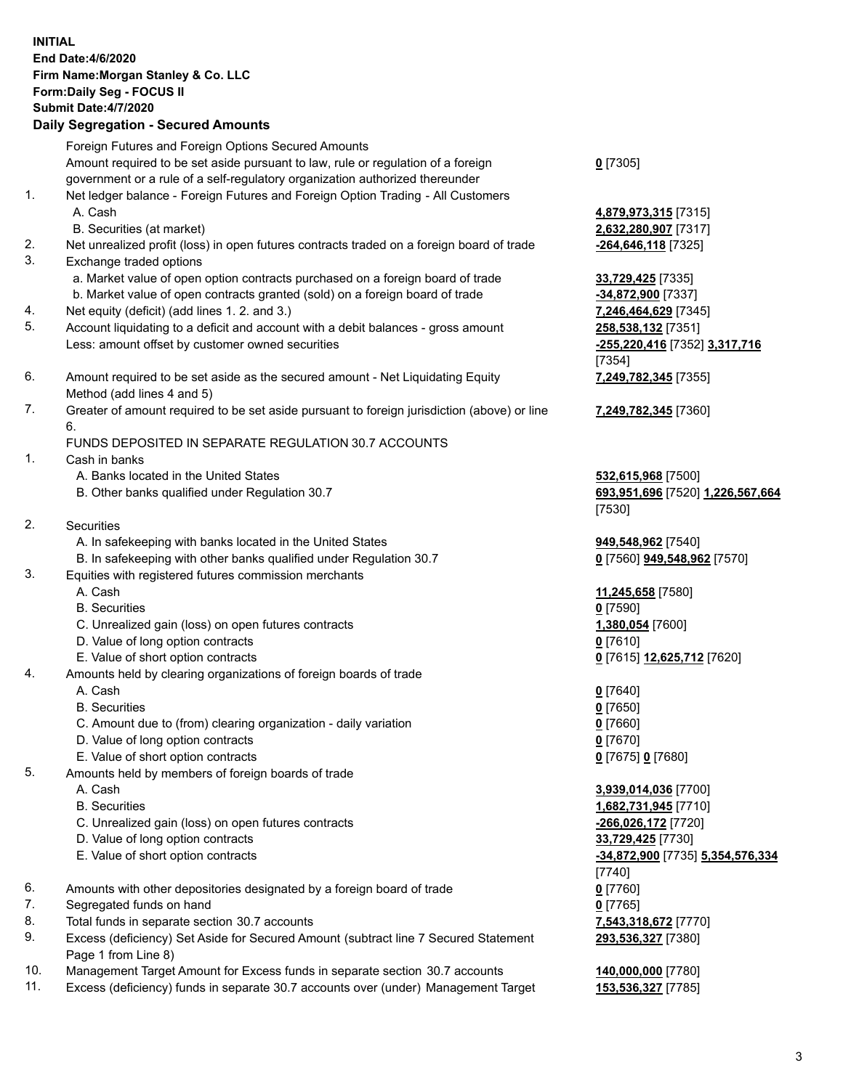| <b>INITIAL</b> | End Date: 4/6/2020<br>Firm Name: Morgan Stanley & Co. LLC<br>Form: Daily Seg - FOCUS II<br><b>Submit Date: 4/7/2020</b><br><b>Daily Segregation - Secured Amounts</b> |                                                              |
|----------------|-----------------------------------------------------------------------------------------------------------------------------------------------------------------------|--------------------------------------------------------------|
|                | Foreign Futures and Foreign Options Secured Amounts                                                                                                                   |                                                              |
|                | Amount required to be set aside pursuant to law, rule or regulation of a foreign<br>government or a rule of a self-regulatory organization authorized thereunder      | $0$ [7305]                                                   |
| 1.             | Net ledger balance - Foreign Futures and Foreign Option Trading - All Customers                                                                                       |                                                              |
|                | A. Cash                                                                                                                                                               | 4,879,973,315 [7315]                                         |
|                | B. Securities (at market)                                                                                                                                             | 2,632,280,907 [7317]                                         |
| 2.<br>3.       | Net unrealized profit (loss) in open futures contracts traded on a foreign board of trade<br>Exchange traded options                                                  | -264,646,118 [7325]                                          |
|                | a. Market value of open option contracts purchased on a foreign board of trade                                                                                        | 33,729,425 [7335]                                            |
|                | b. Market value of open contracts granted (sold) on a foreign board of trade                                                                                          | -34,872,900 [7337]                                           |
| 4.             | Net equity (deficit) (add lines 1. 2. and 3.)                                                                                                                         | 7,246,464,629 [7345]                                         |
| 5.             | Account liquidating to a deficit and account with a debit balances - gross amount                                                                                     | 258,538,132 [7351]                                           |
|                | Less: amount offset by customer owned securities                                                                                                                      | -255,220,416 [7352] 3,317,716                                |
| 6.             |                                                                                                                                                                       | [7354]                                                       |
|                | Amount required to be set aside as the secured amount - Net Liquidating Equity<br>Method (add lines 4 and 5)                                                          | 7,249,782,345 [7355]                                         |
| 7.             | Greater of amount required to be set aside pursuant to foreign jurisdiction (above) or line                                                                           | 7,249,782,345 [7360]                                         |
|                | 6.                                                                                                                                                                    |                                                              |
|                | FUNDS DEPOSITED IN SEPARATE REGULATION 30.7 ACCOUNTS                                                                                                                  |                                                              |
| 1.             | Cash in banks                                                                                                                                                         |                                                              |
|                | A. Banks located in the United States<br>B. Other banks qualified under Regulation 30.7                                                                               | 532,615,968 [7500]<br>693,951,696 [7520] 1,226,567,664       |
|                |                                                                                                                                                                       | [7530]                                                       |
| 2.             | <b>Securities</b>                                                                                                                                                     |                                                              |
|                | A. In safekeeping with banks located in the United States                                                                                                             | 949,548,962 [7540]                                           |
|                | B. In safekeeping with other banks qualified under Regulation 30.7                                                                                                    | 0 [7560] 949,548,962 [7570]                                  |
| 3.             | Equities with registered futures commission merchants<br>A. Cash                                                                                                      | 11,245,658 [7580]                                            |
|                | <b>B.</b> Securities                                                                                                                                                  | $0$ [7590]                                                   |
|                | C. Unrealized gain (loss) on open futures contracts                                                                                                                   | 1,380,054 [7600]                                             |
|                | D. Value of long option contracts                                                                                                                                     | $0$ [7610]                                                   |
|                | E. Value of short option contracts                                                                                                                                    | 0 [7615] 12,625,712 [7620]                                   |
| 4.             | Amounts held by clearing organizations of foreign boards of trade                                                                                                     |                                                              |
|                | A. Cash                                                                                                                                                               | $0$ [7640]                                                   |
|                | <b>B.</b> Securities<br>C. Amount due to (from) clearing organization - daily variation                                                                               | $0$ [7650]<br>$0$ [7660]                                     |
|                | D. Value of long option contracts                                                                                                                                     | $0$ [7670]                                                   |
|                | E. Value of short option contracts                                                                                                                                    | 0 [7675] 0 [7680]                                            |
| 5.             | Amounts held by members of foreign boards of trade                                                                                                                    |                                                              |
|                | A. Cash                                                                                                                                                               | 3,939,014,036 [7700]                                         |
|                | <b>B.</b> Securities                                                                                                                                                  | 1,682,731,945 [7710]                                         |
|                | C. Unrealized gain (loss) on open futures contracts                                                                                                                   | -266,026,172 [7720]                                          |
|                | D. Value of long option contracts<br>E. Value of short option contracts                                                                                               | 33,729,425 [7730]<br><u>-34,872,900</u> [7735] 5,354,576,334 |
|                |                                                                                                                                                                       | [7740]                                                       |
| 6.             | Amounts with other depositories designated by a foreign board of trade                                                                                                | $0$ [7760]                                                   |
| 7.             | Segregated funds on hand                                                                                                                                              | $0$ [7765]                                                   |
| 8.             | Total funds in separate section 30.7 accounts                                                                                                                         | 7,543,318,672 [7770]                                         |
| 9.             | Excess (deficiency) Set Aside for Secured Amount (subtract line 7 Secured Statement                                                                                   | 293,536,327 [7380]                                           |
| 10.            | Page 1 from Line 8)<br>Management Target Amount for Excess funds in separate section 30.7 accounts                                                                    | 140,000,000 [7780]                                           |
| 11.            | Excess (deficiency) funds in separate 30.7 accounts over (under) Management Target                                                                                    | 153,536,327 [7785]                                           |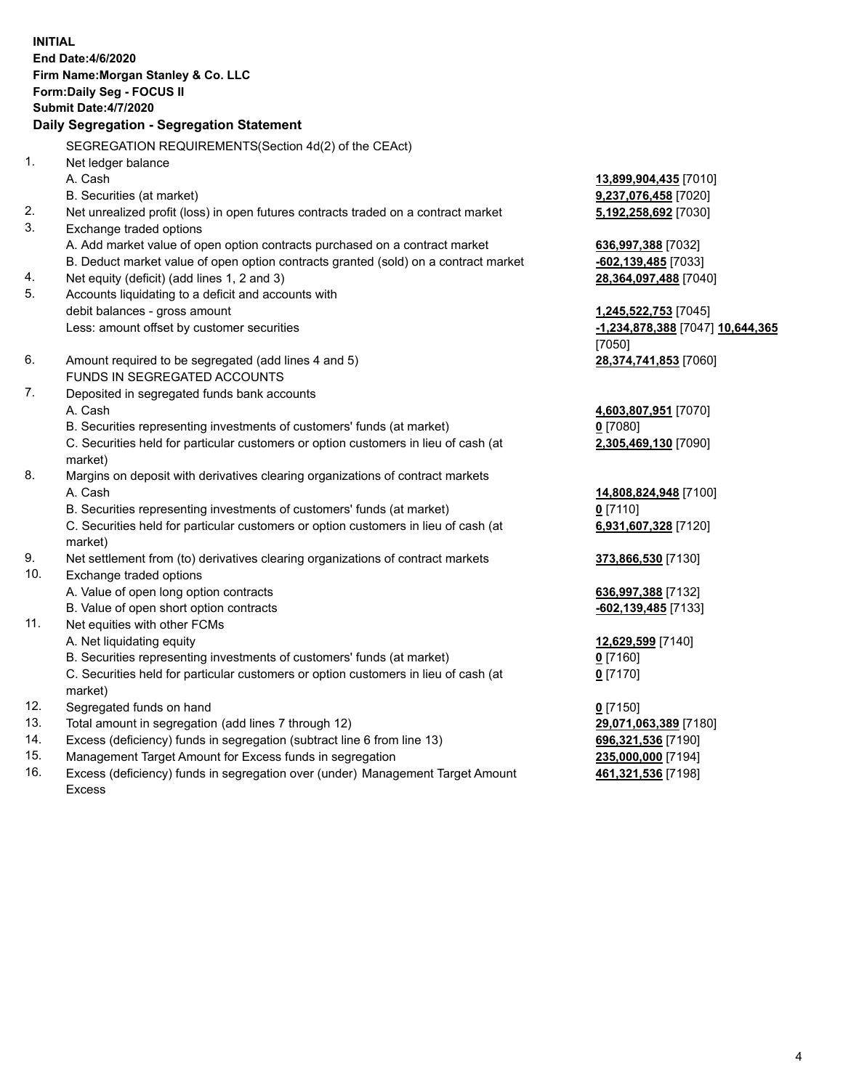|     | <b>INITIAL</b><br>End Date: 4/6/2020<br>Firm Name: Morgan Stanley & Co. LLC<br>Form: Daily Seg - FOCUS II<br><b>Submit Date: 4/7/2020</b><br>Daily Segregation - Segregation Statement |                                  |
|-----|----------------------------------------------------------------------------------------------------------------------------------------------------------------------------------------|----------------------------------|
|     | SEGREGATION REQUIREMENTS(Section 4d(2) of the CEAct)                                                                                                                                   |                                  |
| 1.  | Net ledger balance                                                                                                                                                                     |                                  |
|     | A. Cash                                                                                                                                                                                | 13,899,904,435 [7010]            |
|     | B. Securities (at market)                                                                                                                                                              | 9,237,076,458 [7020]             |
| 2.  | Net unrealized profit (loss) in open futures contracts traded on a contract market                                                                                                     | 5,192,258,692 [7030]             |
| 3.  | Exchange traded options                                                                                                                                                                |                                  |
|     | A. Add market value of open option contracts purchased on a contract market                                                                                                            | 636,997,388 [7032]               |
|     | B. Deduct market value of open option contracts granted (sold) on a contract market                                                                                                    | $-602,139,485$ [7033]            |
| 4.  | Net equity (deficit) (add lines 1, 2 and 3)                                                                                                                                            | 28,364,097,488 [7040]            |
| 5.  | Accounts liquidating to a deficit and accounts with                                                                                                                                    |                                  |
|     | debit balances - gross amount                                                                                                                                                          | 1,245,522,753 [7045]             |
|     | Less: amount offset by customer securities                                                                                                                                             | -1,234,878,388 [7047] 10,644,365 |
|     |                                                                                                                                                                                        | [7050]                           |
| 6.  | Amount required to be segregated (add lines 4 and 5)                                                                                                                                   | 28,374,741,853 [7060]            |
|     | FUNDS IN SEGREGATED ACCOUNTS                                                                                                                                                           |                                  |
| 7.  | Deposited in segregated funds bank accounts                                                                                                                                            |                                  |
|     | A. Cash                                                                                                                                                                                | 4,603,807,951 [7070]             |
|     | B. Securities representing investments of customers' funds (at market)                                                                                                                 | 0 [7080]                         |
|     | C. Securities held for particular customers or option customers in lieu of cash (at<br>market)                                                                                         | 2,305,469,130 [7090]             |
| 8.  | Margins on deposit with derivatives clearing organizations of contract markets                                                                                                         |                                  |
|     | A. Cash                                                                                                                                                                                | 14,808,824,948 [7100]            |
|     | B. Securities representing investments of customers' funds (at market)                                                                                                                 | <u>0</u> [7110]                  |
|     | C. Securities held for particular customers or option customers in lieu of cash (at                                                                                                    | 6,931,607,328 [7120]             |
|     | market)                                                                                                                                                                                |                                  |
| 9.  | Net settlement from (to) derivatives clearing organizations of contract markets                                                                                                        | 373,866,530 [7130]               |
| 10. | Exchange traded options                                                                                                                                                                |                                  |
|     | A. Value of open long option contracts                                                                                                                                                 | 636,997,388 [7132]               |
|     | B. Value of open short option contracts                                                                                                                                                | -602,139,485 [7133]              |
| 11. | Net equities with other FCMs                                                                                                                                                           |                                  |
|     | A. Net liquidating equity                                                                                                                                                              | 12,629,599 [7140]                |
|     | B. Securities representing investments of customers' funds (at market)                                                                                                                 | $0$ [7160]                       |
|     | C. Securities held for particular customers or option customers in lieu of cash (at<br>market)                                                                                         | $0$ [7170]                       |
| 12. | Segregated funds on hand                                                                                                                                                               | $0$ [7150]                       |
| 13. | Total amount in segregation (add lines 7 through 12)                                                                                                                                   | 29,071,063,389 [7180]            |
| 14. | Excess (deficiency) funds in segregation (subtract line 6 from line 13)                                                                                                                | 696,321,536 [7190]               |
| 15  | Managament Target Amount for Excass funds in cogregation                                                                                                                               | <b>225 000 000 171041</b>        |

15. Management Target Amount for Excess funds in segregation<br>16. Excess (deficiency) funds in segregation over (under) Manag Excess (deficiency) funds in segregation over (under) Management Target Amount Excess

**461,321,536** [7198]